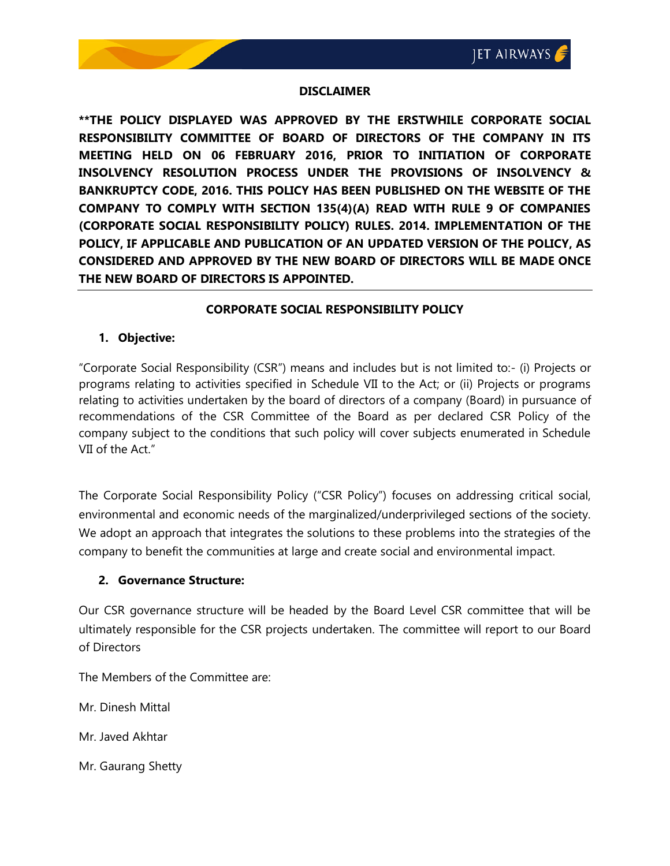#### **DISCLAIMER**

**\*\*THE POLICY DISPLAYED WAS APPROVED BY THE ERSTWHILE CORPORATE SOCIAL RESPONSIBILITY COMMITTEE OF BOARD OF DIRECTORS OF THE COMPANY IN ITS MEETING HELD ON 06 FEBRUARY 2016, PRIOR TO INITIATION OF CORPORATE INSOLVENCY RESOLUTION PROCESS UNDER THE PROVISIONS OF INSOLVENCY & BANKRUPTCY CODE, 2016. THIS POLICY HAS BEEN PUBLISHED ON THE WEBSITE OF THE COMPANY TO COMPLY WITH SECTION 135(4)(A) READ WITH RULE 9 OF COMPANIES (CORPORATE SOCIAL RESPONSIBILITY POLICY) RULES. 2014. IMPLEMENTATION OF THE POLICY, IF APPLICABLE AND PUBLICATION OF AN UPDATED VERSION OF THE POLICY, AS CONSIDERED AND APPROVED BY THE NEW BOARD OF DIRECTORS WILL BE MADE ONCE THE NEW BOARD OF DIRECTORS IS APPOINTED.**

## **CORPORATE SOCIAL RESPONSIBILITY POLICY**

#### **1. Objective:**

"Corporate Social Responsibility (CSR") means and includes but is not limited to:- (i) Projects or programs relating to activities specified in Schedule VII to the Act; or (ii) Projects or programs relating to activities undertaken by the board of directors of a company (Board) in pursuance of recommendations of the CSR Committee of the Board as per declared CSR Policy of the company subject to the conditions that such policy will cover subjects enumerated in Schedule VII of the Act."

The Corporate Social Responsibility Policy ("CSR Policy") focuses on addressing critical social, environmental and economic needs of the marginalized/underprivileged sections of the society. We adopt an approach that integrates the solutions to these problems into the strategies of the company to benefit the communities at large and create social and environmental impact.

## **2. Governance Structure:**

Our CSR governance structure will be headed by the Board Level CSR committee that will be ultimately responsible for the CSR projects undertaken. The committee will report to our Board of Directors

The Members of the Committee are:

Mr. Dinesh Mittal

Mr. Javed Akhtar

Mr. Gaurang Shetty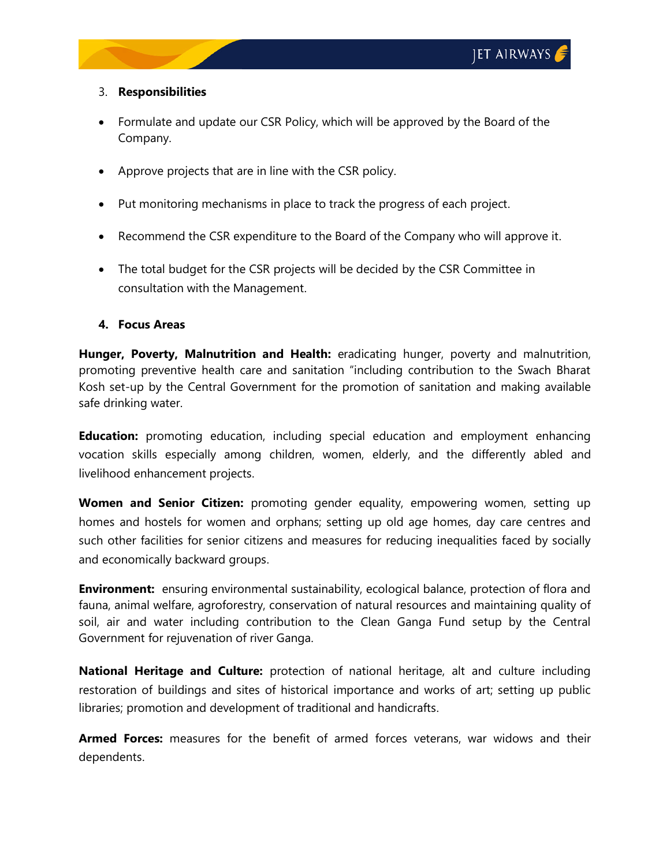## 3. **Responsibilities**

- Formulate and update our CSR Policy, which will be approved by the Board of the Company.
- Approve projects that are in line with the CSR policy.
- Put monitoring mechanisms in place to track the progress of each project.
- Recommend the CSR expenditure to the Board of the Company who will approve it.
- The total budget for the CSR projects will be decided by the CSR Committee in consultation with the Management.

# **4. Focus Areas**

**Hunger, Poverty, Malnutrition and Health:** eradicating hunger, poverty and malnutrition, promoting preventive health care and sanitation "including contribution to the Swach Bharat Kosh set-up by the Central Government for the promotion of sanitation and making available safe drinking water.

**Education:** promoting education, including special education and employment enhancing vocation skills especially among children, women, elderly, and the differently abled and livelihood enhancement projects.

**Women and Senior Citizen:** promoting gender equality, empowering women, setting up homes and hostels for women and orphans; setting up old age homes, day care centres and such other facilities for senior citizens and measures for reducing inequalities faced by socially and economically backward groups.

**Environment:** ensuring environmental sustainability, ecological balance, protection of flora and fauna, animal welfare, agroforestry, conservation of natural resources and maintaining quality of soil, air and water including contribution to the Clean Ganga Fund setup by the Central Government for rejuvenation of river Ganga.

**National Heritage and Culture:** protection of national heritage, alt and culture including restoration of buildings and sites of historical importance and works of art; setting up public libraries; promotion and development of traditional and handicrafts.

**Armed Forces:** measures for the benefit of armed forces veterans, war widows and their dependents.